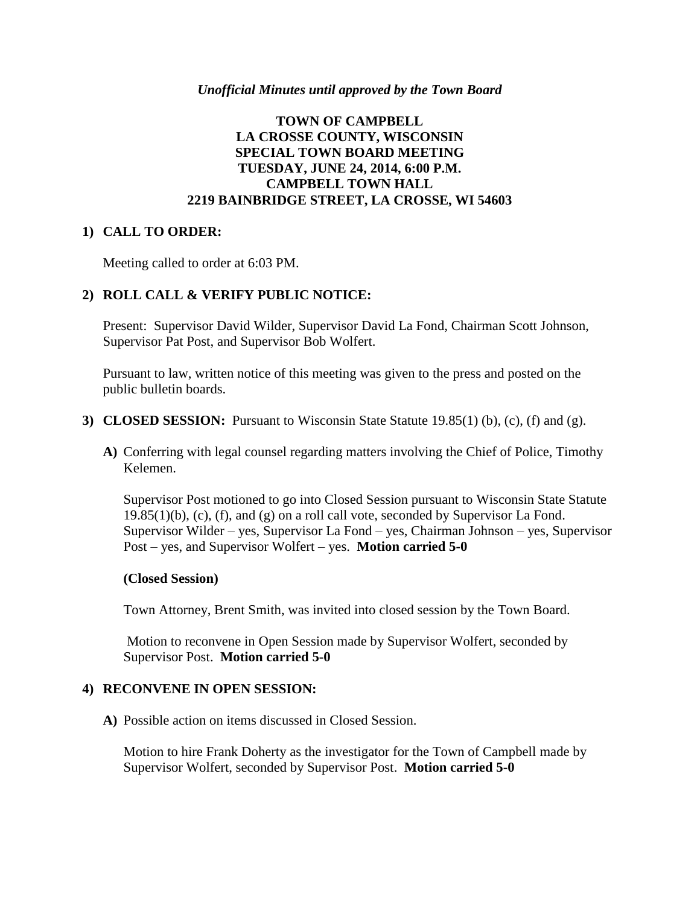#### *Unofficial Minutes until approved by the Town Board*

## **TOWN OF CAMPBELL LA CROSSE COUNTY, WISCONSIN SPECIAL TOWN BOARD MEETING TUESDAY, JUNE 24, 2014, 6:00 P.M. CAMPBELL TOWN HALL 2219 BAINBRIDGE STREET, LA CROSSE, WI 54603**

## **1) CALL TO ORDER:**

Meeting called to order at 6:03 PM.

## **2) ROLL CALL & VERIFY PUBLIC NOTICE:**

Present: Supervisor David Wilder, Supervisor David La Fond, Chairman Scott Johnson, Supervisor Pat Post, and Supervisor Bob Wolfert.

Pursuant to law, written notice of this meeting was given to the press and posted on the public bulletin boards.

- **3) CLOSED SESSION:** Pursuant to Wisconsin State Statute 19.85(1) (b), (c), (f) and (g).
	- **A)** Conferring with legal counsel regarding matters involving the Chief of Police, Timothy Kelemen.

Supervisor Post motioned to go into Closed Session pursuant to Wisconsin State Statute 19.85(1)(b), (c), (f), and (g) on a roll call vote, seconded by Supervisor La Fond. Supervisor Wilder – yes, Supervisor La Fond – yes, Chairman Johnson – yes, Supervisor Post – yes, and Supervisor Wolfert – yes. **Motion carried 5-0**

## **(Closed Session)**

Town Attorney, Brent Smith, was invited into closed session by the Town Board.

Motion to reconvene in Open Session made by Supervisor Wolfert, seconded by Supervisor Post. **Motion carried 5-0**

## **4) RECONVENE IN OPEN SESSION:**

**A)** Possible action on items discussed in Closed Session.

Motion to hire Frank Doherty as the investigator for the Town of Campbell made by Supervisor Wolfert, seconded by Supervisor Post. **Motion carried 5-0**